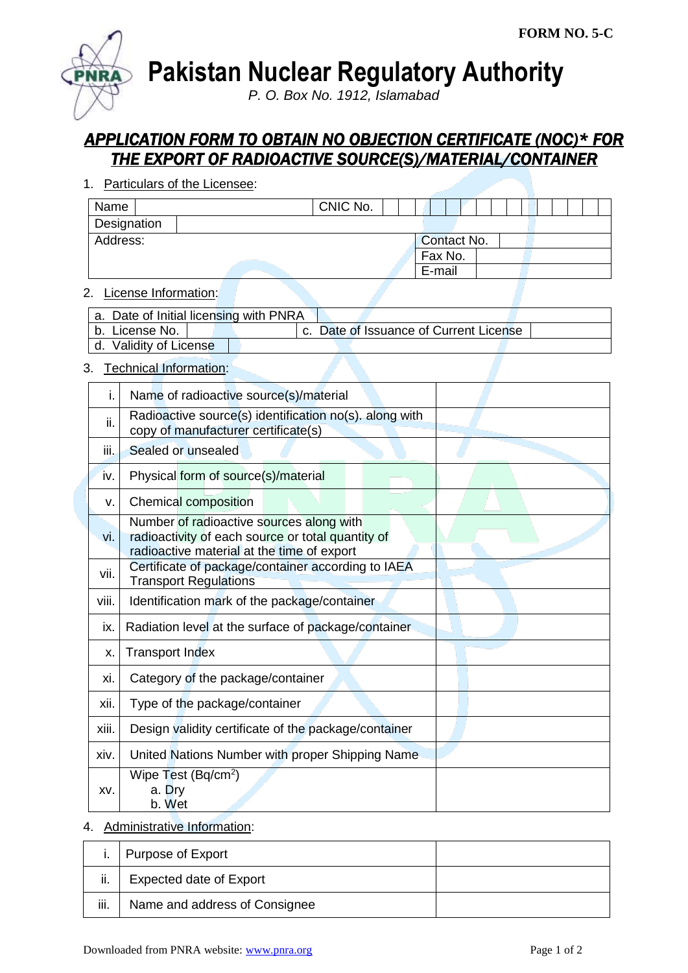**Pakistan Nuclear Regulatory Authority**

*P. O. Box No. 1912, Islamabad*

## *APPLICATION FORM TO OBTAIN NO OBJECTION CERTIFICATE (NOC)\* FOR THE EXPORT OF RADIOACTIVE SOURCE(S)/MATERIAL/CONTAINER*

1. Particulars of the Licensee:

| Name        | CNIC No. |  |             |  |  |  |  |
|-------------|----------|--|-------------|--|--|--|--|
| Designation |          |  |             |  |  |  |  |
| Address:    |          |  | Contact No. |  |  |  |  |
|             |          |  | Fax No.     |  |  |  |  |
|             |          |  | E-mail      |  |  |  |  |

## 2. License Information:

| a. Date of Initial licensing with PNRA |  |                                        |  |  |
|----------------------------------------|--|----------------------------------------|--|--|
| l b. License No.                       |  | c. Date of Issuance of Current License |  |  |
| d. Validity of License                 |  |                                        |  |  |

## 3. Technical Information:

| i.    | Name of radioactive source(s)/material                                                                                                      |  |
|-------|---------------------------------------------------------------------------------------------------------------------------------------------|--|
| ii.   | Radioactive source(s) identification no(s). along with<br>copy of manufacturer certificate(s)                                               |  |
| iii.  | Sealed or unsealed                                                                                                                          |  |
| iv.   | Physical form of source(s)/material                                                                                                         |  |
| v.    | Chemical composition                                                                                                                        |  |
| vi.   | Number of radioactive sources along with<br>radioactivity of each source or total quantity of<br>radioactive material at the time of export |  |
| vii.  | Certificate of package/container according to IAEA<br><b>Transport Regulations</b>                                                          |  |
| viii. | Identification mark of the package/container                                                                                                |  |
| ix.   | Radiation level at the surface of package/container                                                                                         |  |
| х.    | <b>Transport Index</b>                                                                                                                      |  |
| xi.   | Category of the package/container                                                                                                           |  |
| xii.  | Type of the package/container                                                                                                               |  |
| xiii. | Design validity certificate of the package/container                                                                                        |  |
| xiv.  | United Nations Number with proper Shipping Name                                                                                             |  |
| XV.   | Wipe Test $(Bq/cm2)$<br>a. Dry<br>b. Wet                                                                                                    |  |

## 4. Administrative Information:

|      | Purpose of Export              |  |
|------|--------------------------------|--|
| ii.  | <b>Expected date of Export</b> |  |
| iii. | Name and address of Consignee  |  |